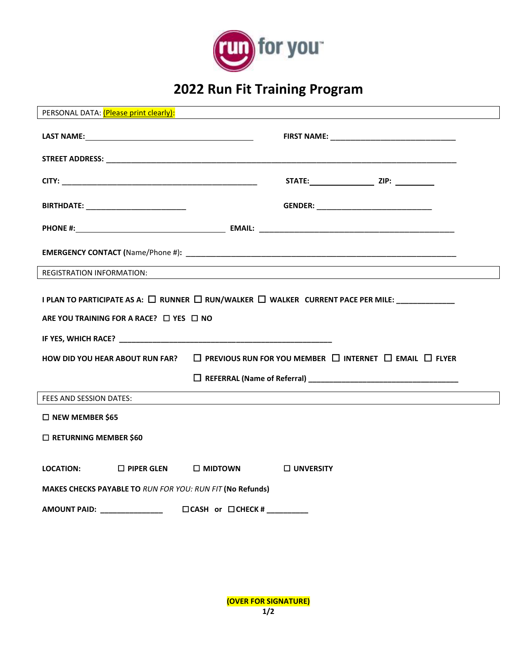

## **2022 Run Fit Training Program**

| PERSONAL DATA: (Please print clearly):                                                                                                              |                                                                              |                  |  |  |  |  |  |  |
|-----------------------------------------------------------------------------------------------------------------------------------------------------|------------------------------------------------------------------------------|------------------|--|--|--|--|--|--|
|                                                                                                                                                     |                                                                              |                  |  |  |  |  |  |  |
|                                                                                                                                                     |                                                                              |                  |  |  |  |  |  |  |
|                                                                                                                                                     |                                                                              |                  |  |  |  |  |  |  |
| BIRTHDATE: ______________________________                                                                                                           |                                                                              |                  |  |  |  |  |  |  |
|                                                                                                                                                     |                                                                              |                  |  |  |  |  |  |  |
|                                                                                                                                                     |                                                                              |                  |  |  |  |  |  |  |
| <b>REGISTRATION INFORMATION:</b>                                                                                                                    |                                                                              |                  |  |  |  |  |  |  |
| I PLAN TO PARTICIPATE AS A: □ RUNNER □ RUN/WALKER □ WALKER CURRENT PACE PER MILE: ____________<br>ARE YOU TRAINING FOR A RACE? $\Box$ YES $\Box$ NO |                                                                              |                  |  |  |  |  |  |  |
| <b>HOW DID YOU HEAR ABOUT RUN FAR?</b>                                                                                                              | $\Box$ PREVIOUS RUN FOR YOU MEMBER $\Box$ INTERNET $\Box$ EMAIL $\Box$ FLYER |                  |  |  |  |  |  |  |
|                                                                                                                                                     |                                                                              |                  |  |  |  |  |  |  |
| FEES AND SESSION DATES:                                                                                                                             |                                                                              |                  |  |  |  |  |  |  |
| □ NEW MEMBER \$65                                                                                                                                   |                                                                              |                  |  |  |  |  |  |  |
| □ RETURNING MEMBER \$60                                                                                                                             |                                                                              |                  |  |  |  |  |  |  |
| <b>LOCATION:</b><br><b>MAKES CHECKS PAYABLE TO RUN FOR YOU: RUN FIT (No Refunds)</b>                                                                | $\Box$ PIPER GLEN $\Box$ MIDTOWN                                             | $\Box$ UNVERSITY |  |  |  |  |  |  |
| <b>AMOUNT PAID:</b> _______________<br>$\Box$ CASH or $\Box$ CHECK # _________                                                                      |                                                                              |                  |  |  |  |  |  |  |